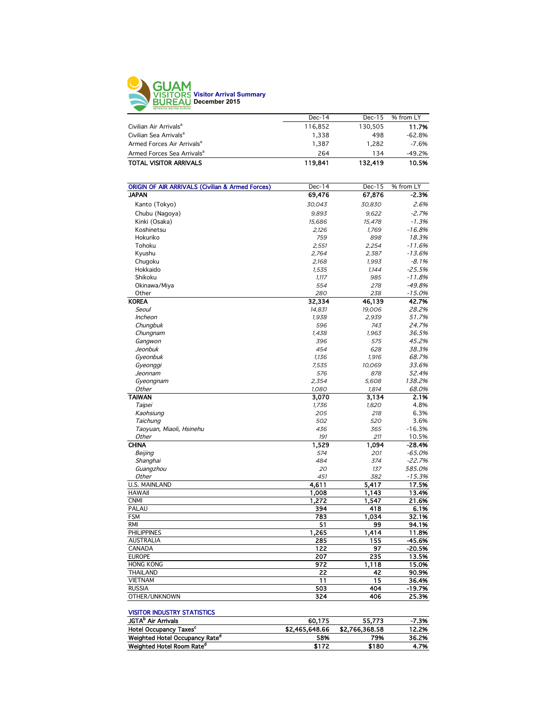

|                                        | $Dec-14$ | $Dec-15$ | % from LY |
|----------------------------------------|----------|----------|-----------|
| Civilian Air Arrivals <sup>a</sup>     | 116.852  | 130.505  | 11.7%     |
| Civilian Sea Arrivals <sup>a</sup>     | 1.338    | 498      | $-62.8%$  |
| Armed Forces Air Arrivals <sup>a</sup> | 1.387    | 1.282    | $-7.6%$   |
| Armed Forces Sea Arrivals <sup>a</sup> | 264      | 134      | $-49.2%$  |
| <b>TOTAL VISITOR ARRIVALS</b>          | 119.841  | 132,419  | 10.5%     |
|                                        |          |          |           |

| <b>ORIGIN OF AIR ARRIVALS (Civilian &amp; Armed Forces)</b> | Dec-14       | $Dec-15$     | % from LY |
|-------------------------------------------------------------|--------------|--------------|-----------|
| <b>JAPAN</b>                                                | 69,476       | 67,876       | $-2.3%$   |
| Kanto (Tokyo)                                               | 30,043       | 30,830       | 2.6%      |
| Chubu (Nagoya)                                              | 9,893        | 9,622        | $-2.7%$   |
| Kinki (Osaka)                                               | 15,686       | 15.478       | $-1.3%$   |
| Koshinetsu                                                  | 2,126        | 1,769        | $-16.8%$  |
| Hokuriko                                                    | 759          | 898          | 18.3%     |
| Tohoku                                                      | 2,551        | 2,254        | $-11.6%$  |
| Kyushu                                                      | 2,764        | 2,387        | $-13.6%$  |
| Chugoku                                                     | 2,168        | 1,993        | $-8.1%$   |
| Hokkaido                                                    | 1.535        | 1.144        | $-25.5%$  |
| Shikoku                                                     | 1,117        | 985          | $-11.8%$  |
| Okinawa/Miya                                                | 554          | 278          | $-49.8%$  |
| Other                                                       | 280          | 238          | $-15.0%$  |
| <b>KOREA</b>                                                | 32,334       | 46,139       | 42.7%     |
| Seoul                                                       | 14,831       | 19,006       | 28.2%     |
| Incheon                                                     | 1,938        | 2,939        | 51.7%     |
| Chungbuk                                                    | 596          | 743          | 24.7%     |
| Chungnam                                                    | 1,438        | 1,963        | 36.5%     |
| Gangwon                                                     | 396          | 575          | 45.2%     |
| Jeonbuk                                                     | 454          | 628          | 38.3%     |
| Gyeonbuk                                                    | 1,136        | 1,916        | 68.7%     |
| Gyeonggi                                                    | 7,535        | 10,069       | 33.6%     |
| Jeonnam                                                     | 576          | 878          | 52.4%     |
|                                                             | 2,354        | 5,608        | 138.2%    |
| Gyeongnam<br>Other                                          |              | 1,814        | 68.0%     |
| <b>TAIWAN</b>                                               | 1,080        | 3,134        | 2.1%      |
|                                                             | 3,070        |              | 4.8%      |
| Taipei                                                      | 1,736<br>205 | 1,820<br>218 | 6.3%      |
| Kaohsiung<br>Taichung                                       | 502          | 520          | 3.6%      |
|                                                             | 436          | 365          | $-16.3%$  |
| Taoyuan, Miaoli, Hsinehu<br>Other                           | 191          | 211          | 10.5%     |
| <b>CHINA</b>                                                | 1,529        | 1,094        | $-28.4%$  |
| Beijing                                                     | 574          | 201          | $-65.0%$  |
| Shanghai                                                    | 484          | 374          | $-22.7%$  |
| Guangzhou                                                   | 20           | 137          | 585.0%    |
| Other                                                       | 451          | 382          | $-15.3%$  |
| <b>U.S. MAINLAND</b>                                        | 4,611        | 5,417        | 17.5%     |
| <b>HAWAII</b>                                               | 1,008        | 1,143        | 13.4%     |
| <b>CNMI</b>                                                 | 1,272        | 1,547        | 21.6%     |
| <b>PALAU</b>                                                | 394          | 418          | 6.1%      |
| <b>FSM</b>                                                  | 783          | 1,034        | 32.1%     |
| <b>RMI</b>                                                  | 51           | 99           | 94.1%     |
| <b>PHILIPPINES</b>                                          | 1,265        | 1,414        | 11.8%     |
| <b>AUSTRALIA</b>                                            | 285          | 155          | -45.6%    |
| CANADA                                                      | 122          | 97           | $-20.5%$  |
| <b>EUROPE</b>                                               | 207          | 235          | 13.5%     |
| <b>HONG KONG</b>                                            | 972          | 1,118        | 15.0%     |
| <b>THAILAND</b>                                             | 22           | 42           | 90.9%     |
| <b>VIETNAM</b>                                              | 11           | 15           | 36.4%     |
| <b>RUSSIA</b>                                               | 503          | 404          | $-19.7%$  |
| OTHER/UNKNOWN                                               | 324          | 406          | 25.3%     |
|                                                             |              |              |           |
| <b>MCITOD IMPLICTBY CTATICTICS</b>                          |              |              |           |

| VISITUR INDUSTRI STATISTICS                |                |                |         |
|--------------------------------------------|----------------|----------------|---------|
| JGTA <sup>b</sup> Air Arrivals             | 60.175         | 55.773         | $-7.3%$ |
| Hotel Occupancy Taxes <sup>c</sup>         | \$2,465,648.66 | \$2.766.368.58 | 12.2%   |
| Weighted Hotel Occupancy Rate <sup>d</sup> | 58%            | 79%            | 36.2%   |
| Weighted Hotel Room Rate <sup>d</sup>      | \$172          | \$180          | 4.7%    |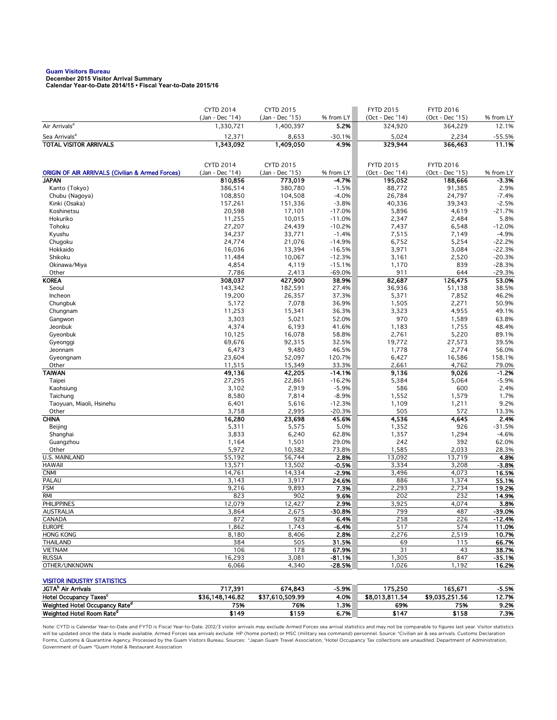# **Guam Visitors Bureau December 2015 Visitor Arrival Summary**

**Calendar Year-to-Date 2014/15 • Fiscal Year-to-Date 2015/16** 

|                                                             | <b>CYTD 2014</b>             | CYTD 2015                    |                   | <b>FYTD 2015</b>           | <b>FYTD 2016</b>           |                    |
|-------------------------------------------------------------|------------------------------|------------------------------|-------------------|----------------------------|----------------------------|--------------------|
| Air Arrivals <sup>a</sup>                                   | (Jan - Dec '14)<br>1,330,721 | (Jan - Dec '15)<br>1,400,397 | % from LY<br>5.2% | (Oct - Dec '14)<br>324,920 | (Oct - Dec '15)<br>364,229 | % from LY<br>12.1% |
|                                                             |                              |                              |                   |                            |                            |                    |
| Sea Arrivals <sup>a</sup><br><b>TOTAL VISITOR ARRIVALS</b>  | 12,371<br>1,343,092          | 8,653<br>1,409,050           | $-30.1%$<br>4.9%  | 5,024<br>329,944           | 2,234<br>366,463           | $-55.5%$<br>11.1%  |
|                                                             |                              |                              |                   |                            |                            |                    |
|                                                             | <b>CYTD 2014</b>             | <b>CYTD 2015</b>             |                   | <b>FYTD 2015</b>           | <b>FYTD 2016</b>           |                    |
| <b>ORIGIN OF AIR ARRIVALS (Civilian &amp; Armed Forces)</b> | (Jan - Dec '14)              | (Jan - Dec '15)              | % from LY         | (Oct - Dec '14)            | (Oct - Dec '15)            | % from LY          |
| <b>JAPAN</b>                                                | 810,856                      | 773,019                      | $-4.7%$           | 195,052                    | 188,666                    | $-3.3%$            |
| Kanto (Tokyo)                                               | 386,514                      | 380,780                      | $-1.5%$           | 88,772                     | 91,385                     | 2.9%               |
| Chubu (Nagoya)                                              | 108,850                      | 104,508                      | $-4.0%$           | 26,784                     | 24,797                     | $-7.4%$            |
| Kinki (Osaka)                                               | 157,261                      | 151,336                      | $-3.8%$           | 40,336                     | 39,343                     | $-2.5%$            |
| Koshinetsu                                                  | 20,598                       | 17,101                       | $-17.0%$          | 5,896                      | 4,619                      | $-21.7%$           |
| Hokuriko                                                    | 11,255                       | 10,015                       | $-11.0%$          | 2,347                      | 2,484                      | 5.8%               |
| Tohoku                                                      | 27,207                       | 24,439                       | $-10.2%$          | 7,437                      | 6,548                      | $-12.0%$           |
| Kyushu                                                      | 34,237                       | 33,771                       | $-1.4%$           | 7,515                      | 7,149                      | $-4.9%$            |
| Chugoku                                                     | 24,774                       | 21,076                       | $-14.9%$          | 6,752                      | 5,254                      | $-22.2%$           |
| Hokkaido                                                    | 16,036                       | 13,394                       | $-16.5%$          | 3,971                      | 3,084                      | $-22.3%$           |
| Shikoku                                                     | 11,484                       | 10,067                       | $-12.3%$          | 3,161                      | 2,520                      | $-20.3%$           |
| Okinawa/Miya                                                | 4,854                        | 4,119                        | $-15.1%$          | 1,170                      | 839                        | $-28.3%$           |
| Other                                                       | 7,786                        | 2,413                        | $-69.0%$          | 911                        | 644                        | $-29.3%$           |
| <b>KOREA</b>                                                | 308,037                      | 427,900                      | 38.9%             | 82,687                     | 126,475                    | 53.0%              |
| Seoul                                                       | 143,342                      | 182,591                      | 27.4%             | 36,936                     | 51,138                     | 38.5%              |
| Incheon                                                     | 19,200                       | 26,357                       | 37.3%             | 5,371                      | 7,852                      | 46.2%              |
| Chungbuk                                                    | 5,172                        | 7,078                        | 36.9%             | 1,505                      | 2,271                      | 50.9%              |
| Chungnam                                                    | 11,253                       | 15,341                       | 36.3%             | 3,323                      | 4,955                      | 49.1%              |
| Gangwon                                                     | 3,303                        | 5,021                        | 52.0%             | 970                        | 1,589                      | 63.8%              |
| Jeonbuk                                                     | 4,374                        | 6,193                        | 41.6%             | 1,183                      | 1,755                      | 48.4%              |
| Gyeonbuk                                                    | 10,125                       | 16,078                       | 58.8%             | 2,761                      | 5,220                      | 89.1%              |
| Gyeonggi                                                    | 69,676                       | 92,315                       | 32.5%             | 19,772                     | 27,573                     | 39.5%              |
| Jeonnam                                                     | 6,473                        | 9,480                        | 46.5%             | 1,778                      | 2,774                      | 56.0%              |
| Gyeongnam                                                   | 23,604                       | 52,097                       | 120.7%            | 6,427                      | 16,586<br>4,762            | 158.1%<br>79.0%    |
| Other<br><b>TAIWAN</b>                                      | 11,515<br>49,136             | 15,349<br>42,205             | 33.3%<br>$-14.1%$ | 2,661<br>9,136             | 9,026                      | $-1.2%$            |
| Taipei                                                      | 27,295                       | 22,861                       | $-16.2%$          | 5,384                      | 5,064                      | $-5.9%$            |
| Kaohsiung                                                   | 3,102                        | 2,919                        | $-5.9%$           | 586                        | 600                        | 2.4%               |
| Taichung                                                    | 8,580                        | 7,814                        | $-8.9%$           | 1,552                      | 1,579                      | 1.7%               |
| Taoyuan, Miaoli, Hsinehu                                    | 6,401                        | 5,616                        | $-12.3%$          | 1,109                      | 1,211                      | 9.2%               |
| Other                                                       | 3,758                        | 2,995                        | $-20.3%$          | 505                        | 572                        | 13.3%              |
| <b>CHINA</b>                                                | 16,280                       | 23,698                       | 45.6%             | 4,536                      | 4,645                      | 2.4%               |
| Beijing                                                     | 5,311                        | 5,575                        | 5.0%              | 1,352                      | 926                        | $-31.5%$           |
| Shanghai                                                    | 3,833                        | 6,240                        | 62.8%             | 1,357                      | 1,294                      | $-4.6%$            |
| Guangzhou                                                   | 1,164                        | 1,501                        | 29.0%             | 242                        | 392                        | 62.0%              |
| Other                                                       | 5,972                        | 10,382                       | 73.8%             | 1,585                      | 2,033                      | 28.3%              |
| U.S. MAINLAND                                               | 55,192                       | 56,744                       | 2.8%              | 13,092                     | 13,719                     | 4.8%               |
| <b>HAWAII</b>                                               | 13,571                       | 13,502                       | -0.5%             | 3,334                      | 3,208                      | $-3.8%$            |
| <b>CNMI</b>                                                 | 14,761                       | 14,334                       | $-2.9%$           | 3,496                      | 4,073                      | 16.5%              |
| PALAU                                                       | 3,143                        | 3,917                        | 24.6%             | 886                        | 1,374                      | 55.1%              |
| <b>FSM</b>                                                  | 9,216                        | 9,893                        | 7.3%              | 2,293                      | 2,734                      | 19.2%              |
| RMI                                                         | 823                          | 902                          | 9.6%              | 202                        | 232                        | 14.9%              |
| <b>PHILIPPINES</b>                                          | 12,079                       | 12,427                       | 2.9%              | 3,925                      | 4,074                      | 3.8%               |
| AUSTRALIA                                                   | 3,864                        | 2,675                        | -30.8%            | 799                        | 487                        | -39.0%             |
| CANADA                                                      | 872                          | 928                          | 6.4%              | 258                        | 226                        | $-12.4%$           |
| <b>EUROPE</b>                                               | 1,862                        | 1,743                        | $-6.4%$           | 517                        | 574                        | 11.0%              |
| <b>HONG KONG</b>                                            | 8,180                        | 8,406                        | 2.8%              | 2,276                      | 2,519                      | 10.7%              |
| THAILAND                                                    | 384                          | 505                          | 31.5%             | 69                         | 115                        | 66.7%              |
| <b>VIETNAM</b>                                              | 106                          | 178                          | 67.9%             | 31                         | 43                         | 38.7%              |
| <b>RUSSIA</b>                                               | 16,293                       | 3,081                        | $-81.1%$          | 1,305                      | 847                        | $-35.1%$           |
| OTHER/UNKNOWN                                               | 6,066                        | 4,340                        | $-28.5%$          | 1,026                      | 1,192                      | 16.2%              |
| <b>VISITOR INDUSTRY STATISTICS</b>                          |                              |                              |                   |                            |                            |                    |
| JGTA <sup>b</sup> Air Arrivals                              | 717,391                      | 674,843                      | $-5.9%$           | 175,250                    | 165,671                    | -5.5%              |
| Hotel Occupancy Taxes <sup>c</sup>                          | \$36,148,146.82              | \$37,610,509.99              | 4.0%              | \$8,013,811.54             | \$9,035,251.56             | 12.7%              |
| Weighted Hotel Occupancy Rate <sup>d</sup>                  | 75%                          | 76%                          | 1.3%              | 69%                        | 75%                        | 9.2%               |

Weighted Hotel Room Rate<sup>d</sup> \$149 \$159 6.7% \$147 \$158 7.3% Note: CYTD is Calendar Year-to-Date and FYTD is Fiscal Year-to-Date. 2012/3 visitor arrivals may exclude Armed Forces sea arrival statistics and may not be comparable to figures last year. Visitor statistics will be updated once the data is made available. Armed Forces sea arrivals exclude HP (home ported) or MSC (military sea command) personnel. Source: °Civilian air & sea arrivals. Customs Declaration<br>Forms, Customs & Quaran

Government of Guam dGuam Hotel & Restaurant Association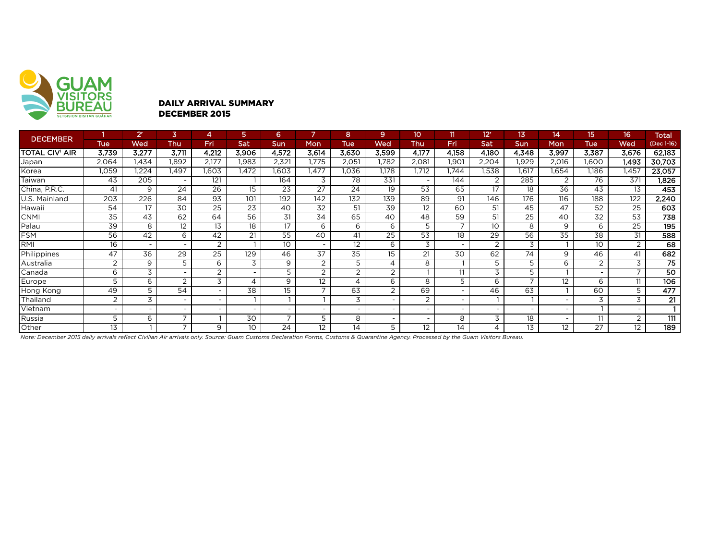

#### DAILY ARRIVAL SUMMARY DECEMBER 2015

| <b>DECEMBER</b>       |                          | 2 <sup>r</sup>           | 3                        | 4                        | 5                        | 6                        |                          | 8                        | 9                        | 10                       |                  | 12 <sup>r</sup> | 13                       | 14                | 15.            | 16                       | <b>Total</b>    |
|-----------------------|--------------------------|--------------------------|--------------------------|--------------------------|--------------------------|--------------------------|--------------------------|--------------------------|--------------------------|--------------------------|------------------|-----------------|--------------------------|-------------------|----------------|--------------------------|-----------------|
|                       | <b>Tue</b>               | Wed                      | Thu                      | Fri                      | Sat                      | <b>Sun</b>               | <b>Mon</b>               | Tue                      | Wed                      | Thu                      | Fri              | Sat             | Sun                      | Mon               | <b>Tue</b>     | Wed                      | (Dec 1-16)      |
| <b>TOTAL CIV' AIR</b> | 3,739                    | 3,277                    | 3,711                    | 4,212                    | 3,906                    | 4,572                    | 3,614                    | 3,630                    | 3,599                    | 4,177                    | 4,158            | 4,180           | 4,348                    | 3,997             | 3,387          | 3,676                    | 62,183          |
| Japan                 | 2,064                    | 1,434                    | 1,892                    | 2,177                    | 1,983                    | 2,321                    | 1,775                    | 2,051                    | 1,782                    | 2,081                    | .90 <sup>°</sup> | 2,204           | 1,929                    | 2,016             | 1,600          | 1.493                    | 30,703          |
| Korea                 | 1,059                    | .224                     | l.497                    | 1,603                    | 1,472                    | 1,603                    | .477                     | .036                     | 1,178                    | 1,712                    | 1.744            | 1,538           | 1,617                    | .654              | 1.186          | 1,457                    | 23,057          |
| Taiwan                | 43                       | 205                      |                          | 121                      |                          | 164                      | 3                        | 78                       | 331                      | $\overline{\phantom{0}}$ | 144              | 2               | 285                      |                   | 76             | 371                      | 1,826           |
| China, P.R.C.         | 41                       | 9                        | 24                       | 26                       | 15                       | 23                       | $\overline{27}$          | 24                       | 19                       | $\overline{53}$          | 65               | 17              | 18                       | $\overline{36}$   | 43             | 13                       | 453             |
| U.S. Mainland         | 203                      | 226                      | 84                       | $\overline{93}$          | 101                      | $\overline{192}$         | 142                      | 132                      | 139                      | 89                       | 91               | 146             | 176                      | $\overline{116}$  | 188            | 122                      | 2,240           |
| Hawaii                | 54                       | 17                       | 30                       | $\overline{25}$          | 23                       | 40                       | 32                       | 51                       | 39                       | 12 <sup>2</sup>          | 60               | 51              | 45                       | 47                | 52             | 25                       | 603             |
| CNMI                  | 35                       | 43                       | 62                       | 64                       | 56                       | 31                       | 34                       | 65                       | 40                       | 48                       | 59               | 51              | 25                       | 40                | 32             | 53                       | 738             |
| Palau                 | 39                       | 8                        | 12                       | 13                       | 18                       | 17                       | 6                        | 6                        | 6                        | 5                        |                  | 10              | 8                        | 9                 | 6              | 25                       | 195             |
| <b>FSM</b>            | 56                       | 42                       | 6                        | 42                       | 21                       | 55                       | 40                       | 41                       | 25                       | $\overline{53}$          | 18               | 29              | 56                       | $\overline{35}$   | 38             | 31                       | 588             |
| RMI                   | 16                       | $\overline{\phantom{0}}$ | $\sim$                   | 2                        |                          | 10 <sup>°</sup>          | $\overline{\phantom{0}}$ | 12                       | 6                        | 3                        |                  | $\overline{2}$  | 3                        |                   | 10             | 2                        | 68              |
| Philippines           | 47                       | 36                       | 29                       | 25                       | 129                      | 46                       | 37                       | 35                       | 15                       | 21                       | 30               | 62              | 74                       | 9                 | 46             | 41                       | 682             |
| Australia             | 2                        | 9                        | 5                        | 6                        | 3                        | 9                        | 2                        | 5                        | 4                        | 8                        |                  | 5               |                          | 6                 | $\overline{2}$ | 3                        | 75              |
| Canada                | 6                        | 3                        | $\sim$                   | $\overline{2}$           | $\overline{\phantom{0}}$ | 5                        | 2                        | $\overline{2}$           | 2                        |                          | 11               | 3               | 5                        |                   | ۰              | $\overline{\phantom{a}}$ | $\overline{50}$ |
| Europe                | 5                        | 6                        | 2                        | 3                        | 4                        | 9                        | 12                       | 4                        | 6                        | 8                        | 5                | 6               | $\overline{\phantom{0}}$ | 12                | 6              | 11                       | 106             |
| Hong Kong             | 49                       | 5                        | 54                       | $\overline{\phantom{a}}$ | 38                       | 15                       | $\overline{\phantom{a}}$ | 63                       | 2                        | 69                       |                  | 46              | 63                       |                   | 60             | 5                        | 477             |
| Thailand              | $\bigcap$                | 3                        | $\overline{\phantom{a}}$ |                          |                          |                          |                          | 3                        | $\overline{\phantom{0}}$ | 2                        |                  |                 |                          |                   | 3              | 3                        | 21              |
| Vietnam               | $\overline{\phantom{0}}$ |                          | $\sim$                   | $\overline{\phantom{a}}$ |                          | $\overline{\phantom{0}}$ | $\overline{\phantom{a}}$ | $\overline{\phantom{0}}$ | $\overline{\phantom{0}}$ | $\overline{\phantom{0}}$ |                  |                 |                          |                   |                |                          |                 |
| Russia                | 5                        | 6                        | $\overline{\phantom{0}}$ |                          | 30                       | $\overline{ }$           | 5                        | 8                        | $\overline{\phantom{0}}$ | $\overline{\phantom{0}}$ | 8                | 3               | 18                       |                   | 11             | 2                        | 111             |
| Other                 | 13                       |                          | $\overline{\phantom{0}}$ | 9                        | 10                       | 24                       | 12                       | 14                       | 5                        | 12                       | 14               |                 | 13                       | $12 \overline{ }$ | 27             | 12                       | 189             |

*Note: December 2015 daily arrivals reflect Civilian Air arrivals only. Source: Guam Customs Declaration Forms, Customs & Quarantine Agency. Processed by the Guam Visitors Bureau.*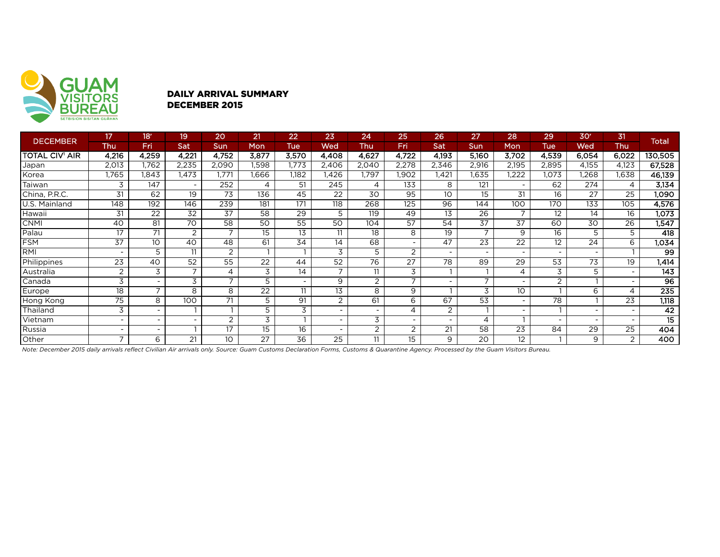

### DAILY ARRIVAL SUMMARY DECEMBER 2015

| <b>DECEMBER</b>       | 17                       | 18 <sup>r</sup> | 19             | 20                       | 21              | 22    | 23                       | 24                       | 25                       | 26             | 27                       | 28                       | 29             | 30 <sup>°</sup>          | 31                       | <b>Total</b>    |
|-----------------------|--------------------------|-----------------|----------------|--------------------------|-----------------|-------|--------------------------|--------------------------|--------------------------|----------------|--------------------------|--------------------------|----------------|--------------------------|--------------------------|-----------------|
|                       | Thu                      | Fri             | Sat            | Sun                      | Mon             | Tue   | Wed                      | Thu                      | Fri                      | Sat            | Sun                      | Mon                      | <b>Tue</b>     | Wed                      | Thu                      |                 |
| <b>TOTAL CIV' AIR</b> | 4,216                    | 4,259           | 4,221          | 4,752                    | 3,877           | 3,570 | 4,408                    | 4,627                    | 4,722                    | 4,193          | 5,160                    | 3,702                    | 4,539          | 6,054                    | 6,022                    | 130,505         |
| Japan                 | 2,013                    | 1,762           | 2,235          | 2,090                    | .598            | .773  | 2,406                    | 2,040                    | 2,278                    | 2,346          | 2,916                    | 2,195                    | 2,895          | 4,155                    | 4,123                    | 67,528          |
| Korea                 | 1,765                    | 1,843           | 1.473          | 1.771                    | 1.666           | 1,182 | ,426                     | 1,797                    | 1,902                    | 1,421          | 1,635                    | ,222                     | 1,073          | .268                     | .638                     | 46,139          |
| Taiwan                | 3                        | 147             |                | 252                      |                 | 51    | 245                      | 4                        | 133                      | 8              | 121                      | $\overline{\phantom{a}}$ | 62             | 274                      | 4                        | 3,134           |
| China, P.R.C.         | 31                       | 62              | 19             | 73                       | 136             | 45    | 22                       | 30                       | 95                       | 10             | 15                       | 31                       | 16             | 27                       | 25                       | 1,090           |
| U.S. Mainland         | 148                      | 192             | 146            | 239                      | 181             | 171   | 118                      | 268                      | 125                      | 96             | $14\overline{4}$         | 100                      | 170            | 133                      | 105                      | 4,576           |
| Hawaii                | 31                       | 22              | 32             | $\overline{37}$          | 58              | 29    | 5                        | 119                      | 49                       | 13             | $\overline{26}$          |                          | 12             | 14                       | 16                       | 1,073           |
| <b>CNMI</b>           | 40                       | 81              | 70             | 58                       | 50              | 55    | 50                       | 104                      | 57                       | 54             | 37                       | 37                       | 60             | 30                       | 26                       | 1,547           |
| Palau                 | 17                       | 71              | 2              | $\overline{\phantom{a}}$ | 15              | 13    | 11                       | 18                       | 8                        | 19             | $\overline{ }$           | 9                        | 16             | 5                        | 5                        | 418             |
| <b>FSM</b>            | 37                       | 10              | 40             | 48                       | 61              | 34    | 14                       | 68                       | $\overline{\phantom{a}}$ | 47             | 23                       | 22                       | 12             | 24                       | 6                        | 1,034           |
| RMI                   | $\overline{\phantom{a}}$ | 5               | 11             | 2                        |                 |       | 3                        | 5                        | 2                        | ٠              |                          | -                        |                | $\overline{\phantom{0}}$ |                          | 99              |
| Philippines           | 23                       | 40              | 52             | 55                       | $\overline{22}$ | 44    | $\overline{52}$          | $\overline{76}$          | $\overline{27}$          | 78             | 89                       | 29                       | 53             | $\overline{73}$          | 19                       | 1,414           |
| Australia             | $\overline{2}$           | 3               | $\overline{ }$ | 4                        | 3               | 14    | $\overline{ }$           | 11                       | 3                        |                |                          | 4                        | 3              | 5                        | ۰.                       | 143             |
| Canada                | 3                        |                 | 3              | $\overline{\phantom{0}}$ | 5               |       | 9                        | 2                        | 7                        |                | $\overline{\phantom{0}}$ | $\overline{\phantom{0}}$ | $\overline{2}$ |                          | $\sim$                   | $\overline{96}$ |
| Europe                | 18                       | $\overline{ }$  | 8              | 8                        | 22              | 11    | 13                       | 8                        | 9                        |                | 3                        | 10                       |                | 6                        | 4                        | 235             |
| Hong Kong             | $\overline{75}$          | 8               | 100            | 71                       | 5               | 91    | 2                        | 61                       | 6                        | $\overline{6}$ | $\overline{53}$          | ۰                        | 78             |                          | 23                       | 1,118           |
| Thailand              | 3                        |                 |                |                          | 5               | 3     | $\overline{\phantom{a}}$ | $\overline{\phantom{a}}$ | $\overline{4}$           | $\overline{2}$ |                          | $\overline{\phantom{0}}$ |                |                          | $\overline{\phantom{0}}$ | 42              |
| Vietnam               | ٠                        |                 |                | 2                        | 3               |       | $\overline{\phantom{0}}$ | 3                        | $\overline{\phantom{a}}$ | ۰              | 4                        |                          |                |                          | $\overline{\phantom{a}}$ | 15              |
| Russia                | -                        |                 |                | 17                       | 15              | 16    |                          | $\overline{2}$           | $\overline{2}$           | 21             | 58                       | 23                       | 84             | 29                       | 25                       | 404             |
| Other                 | $\overline{ }$           | 6               | 21             | 10                       | 27              | 36    | 25                       | 11                       | 15                       | 9              | 20                       | 12                       |                | 9                        | $\overline{2}$           | 400             |

*Note: December 2015 daily arrivals reflect Civilian Air arrivals only. Source: Guam Customs Declaration Forms, Customs & Quarantine Agency. Processed by the Guam Visitors Bureau.*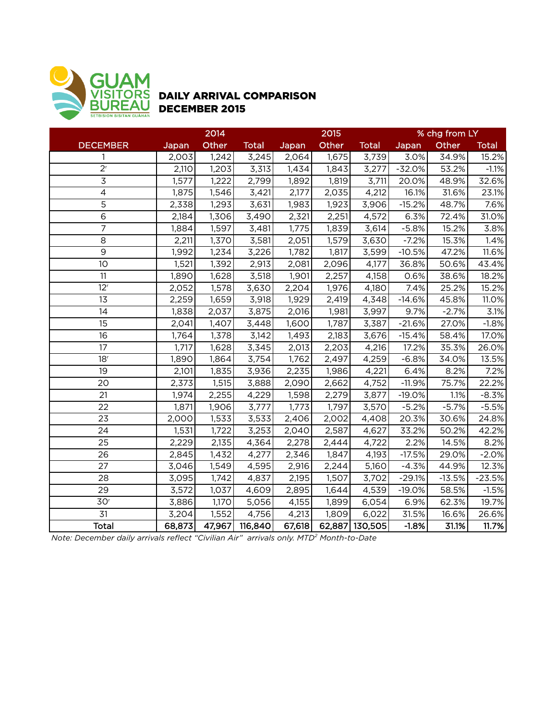

## DAILY ARRIVAL COMPARISON DECEMBER 2015

|                 | 2014   |        |              |        | 2015  |                | % chg from LY |          |              |  |
|-----------------|--------|--------|--------------|--------|-------|----------------|---------------|----------|--------------|--|
| <b>DECEMBER</b> | Japan  | Other  | <b>Total</b> | Japan  | Other | <b>Total</b>   | <b>Japan</b>  | Other    | <b>Total</b> |  |
| 1               | 2,003  | 1,242  | 3,245        | 2,064  | 1,675 | 3,739          | 3.0%          | 34.9%    | 15.2%        |  |
| $2^{r}$         | 2,110  | 1,203  | 3,313        | 1,434  | 1,843 | 3,277          | $-32.0%$      | 53.2%    | $-1.1%$      |  |
| 3               | 1,577  | 1,222  | 2,799        | 1,892  | 1,819 | 3,711          | 20.0%         | 48.9%    | 32.6%        |  |
| $\overline{4}$  | 1,875  | 1,546  | 3,421        | 2,177  | 2,035 | 4,212          | 16.1%         | 31.6%    | 23.1%        |  |
| $\overline{5}$  | 2,338  | 1,293  | 3,631        | 1,983  | 1,923 | 3,906          | $-15.2%$      | 48.7%    | 7.6%         |  |
| $\overline{6}$  | 2,184  | 1,306  | 3,490        | 2,321  | 2,251 | 4,572          | 6.3%          | 72.4%    | 31.0%        |  |
| $\overline{7}$  | 1,884  | 1,597  | 3,481        | 1,775  | 1,839 | 3,614          | $-5.8%$       | 15.2%    | 3.8%         |  |
| 8               | 2,211  | 1,370  | 3,581        | 2,051  | 1,579 | 3,630          | $-7.2%$       | 15.3%    | 1.4%         |  |
| $\overline{9}$  | 1,992  | 1,234  | 3,226        | 1,782  | 1,817 | 3,599          | $-10.5%$      | 47.2%    | 11.6%        |  |
| 10              | 1,521  | 1,392  | 2,913        | 2,081  | 2,096 | 4,177          | 36.8%         | 50.6%    | 43.4%        |  |
| 11              | 1,890  | 1,628  | 3,518        | 1,901  | 2,257 | 4,158          | 0.6%          | 38.6%    | 18.2%        |  |
| 12 <sup>r</sup> | 2,052  | 1,578  | 3,630        | 2,204  | 1,976 | 4,180          | 7.4%          | 25.2%    | 15.2%        |  |
| 13              | 2,259  | 1,659  | 3,918        | 1,929  | 2,419 | 4,348          | $-14.6%$      | 45.8%    | 11.0%        |  |
| 14              | 1,838  | 2,037  | 3,875        | 2,016  | 1,981 | 3,997          | 9.7%          | $-2.7%$  | 3.1%         |  |
| 15              | 2,041  | 1,407  | 3,448        | 1,600  | 1,787 | 3,387          | $-21.6%$      | 27.0%    | $-1.8%$      |  |
| 16              | 1,764  | 1,378  | 3,142        | 1,493  | 2,183 | 3,676          | $-15.4%$      | 58.4%    | 17.0%        |  |
| 17              | 1,717  | 1,628  | 3,345        | 2,013  | 2,203 | 4,216          | 17.2%         | 35.3%    | 26.0%        |  |
| 18 <sup>r</sup> | 1,890  | 1,864  | 3,754        | 1,762  | 2,497 | 4,259          | $-6.8%$       | 34.0%    | 13.5%        |  |
| 19              | 2,101  | 1,835  | 3,936        | 2,235  | 1,986 | 4,221          | 6.4%          | 8.2%     | 7.2%         |  |
| 20              | 2,373  | 1,515  | 3,888        | 2,090  | 2,662 | 4,752          | $-11.9%$      | 75.7%    | 22.2%        |  |
| 21              | 1,974  | 2,255  | 4,229        | 1,598  | 2,279 | 3,877          | $-19.0%$      | 1.1%     | $-8.3%$      |  |
| 22              | 1,871  | 1,906  | 3,777        | 1,773  | 1,797 | 3,570          | $-5.2%$       | $-5.7%$  | $-5.5%$      |  |
| 23              | 2,000  | 1,533  | 3,533        | 2,406  | 2,002 | 4,408          | 20.3%         | 30.6%    | 24.8%        |  |
| 24              | 1,531  | 1,722  | 3,253        | 2,040  | 2,587 | 4,627          | 33.2%         | 50.2%    | 42.2%        |  |
| 25              | 2,229  | 2,135  | 4,364        | 2,278  | 2,444 | 4,722          | 2.2%          | 14.5%    | 8.2%         |  |
| 26              | 2,845  | 1,432  | 4,277        | 2,346  | 1,847 | 4,193          | $-17.5%$      | 29.0%    | $-2.0%$      |  |
| 27              | 3,046  | 1,549  | 4,595        | 2,916  | 2,244 | 5,160          | $-4.3%$       | 44.9%    | 12.3%        |  |
| 28              | 3,095  | 1,742  | 4,837        | 2,195  | 1,507 | 3,702          | $-29.1%$      | $-13.5%$ | $-23.5%$     |  |
| 29              | 3,572  | 1,037  | 4,609        | 2,895  | 1,644 | 4,539          | $-19.0%$      | 58.5%    | $-1.5%$      |  |
| 30 <sup>r</sup> | 3,886  | 1,170  | 5,056        | 4,155  | 1,899 | 6,054          | 6.9%          | 62.3%    | 19.7%        |  |
| 31              | 3,204  | 1,552  | 4,756        | 4,213  | 1,809 | 6,022          | 31.5%         | 16.6%    | 26.6%        |  |
| <b>Total</b>    | 68,873 | 47,967 | 116,840      | 67,618 |       | 62,887 130,505 | $-1.8%$       | 31.1%    | 11.7%        |  |

*Note: December daily arrivals reflect "Civilian Air" arrivals only. MTD2 Month-to-Date*